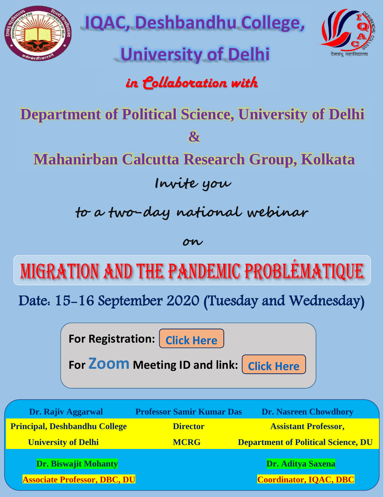

**IQAC, Deshbandhu College,** 

# **University of Delhi**



# *in Collaboration with*

**Department of Political Science, University of Delhi** 

**&**

**Mahanirban Calcutta Research Group, Kolkata**

**Invite you** 

**to a two-day national webinar** 

**on**

MIGRATION AND THE PANDEMIC PROBLEMATIQUE

Date: 15-16 September 2020 (Tuesday and Wednesday)

**For Registration:** [Click Here](https://forms.gle/S1xyFwkfzcUWSoA66)

**For ZOOM** Meeting ID and link: [Click Here](https://us02web.zoom.us/j/89424472378)

| Dr. Rajiv Aggarwal                                          | <b>Professor Samir Kumar Das</b> | <b>Dr. Nasreen Chowdhory</b>                       |  |
|-------------------------------------------------------------|----------------------------------|----------------------------------------------------|--|
| <b>Principal, Deshbandhu College</b>                        | <b>Director</b>                  | <b>Assistant Professor,</b>                        |  |
| <b>University of Delhi</b>                                  | <b>MCRG</b>                      | <b>Department of Political Science, DU</b>         |  |
| Dr. Biswajit Mohanty<br><b>Associate Professor, DBC, DU</b> |                                  | Dr. Aditya Saxena<br><b>Coordinator, IQAC, DBC</b> |  |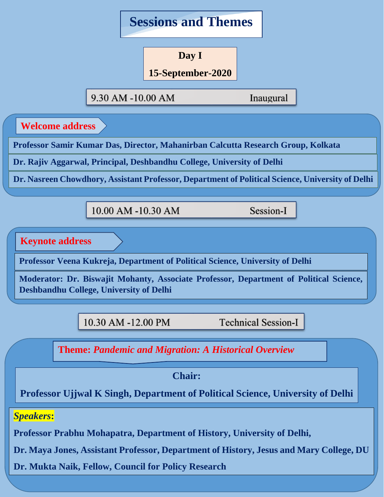

**Day I**

### **15-September-2020**

**2020**

9.30 AM -10.00 AM

Inaugural

**Welcome address** 

Professor Samir Kumar Das, Director, Mahanirban Calcutta Research Group, Kolkata

**Inaugural Communication Dr. Rajiv Aggarwal, Principal, Deshbandhu College, University of Delhi**

Welcome address by

**Dr. Nasreen Chowdhory, Assistant Professor, Department of Political Science, University of Delhi**

Mahanirban Calcutta Research Group

 $P_{10.00 \text{ AM}} - 10.30 \text{ AM}$  Session-I

**Keynote address** 

Professor Veena Kukreja, Department of Political Science, University of Delhi Professor, Department of Political Science,

**10.00 a.m. – 10.30 a.m.** 

**Moderator: Dr. Biswajit Mohanty, Associate Professor, Department of Political Science, Deshbandhu College, University of Delhi**

10.30 AM -12.00 PM

**Technical Session-I** 

**Theme: Pandemic and Migration: A Historical Overview** 

**Moderator: Dr Biswayit Mohanty** 

Keynote speaker: Professor Veena Kukreja, **Professor Ujjwal K Singh, Department of Political Science, University of Delhi**

# *Speakers***:**

**Professor Prabhu Mohapatra, Department of History, University of Delhi,** 

**10:30 a.m. – 12.00 p.m. Dr. Maya Jones, Assistant Professor, Department of History, Jesus and Mary College, DU**

**Dr. Mukta Naik, Fellow, Council for Policy Research**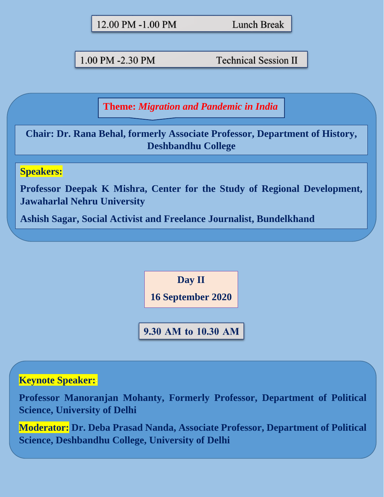| 12.00 PM -1.00 PM |  |  |
|-------------------|--|--|
|-------------------|--|--|

**Lunch Break** 

1.00 PM -2.30 PM

**Technical Session II** 

**Theme:** *Migration and Pandemic in India*

**Chair: Dr. Rana Behal, formerly Associate Professor, Department of History, Deshbandhu College**

## **Speakers:**

**Professor Deepak K Mishra, Center for the Study of Regional Development, Jawaharlal Nehru University**

**Ashish Sagar, Social Activist and Freelance Journalist, Bundelkhand**

**Day II**

**16 September 2020**

9.30 AM to 10.30 AM

### **Keynote Speaker:**:

**Professor Manoranjan Mohanty, Formerly Professor, Department of Political Science, University of Delhi**

**Moderator: Dr. Deba Prasad Nanda, Associate Professor, Department of Political Science, Deshbandhu College, University of Delhi**